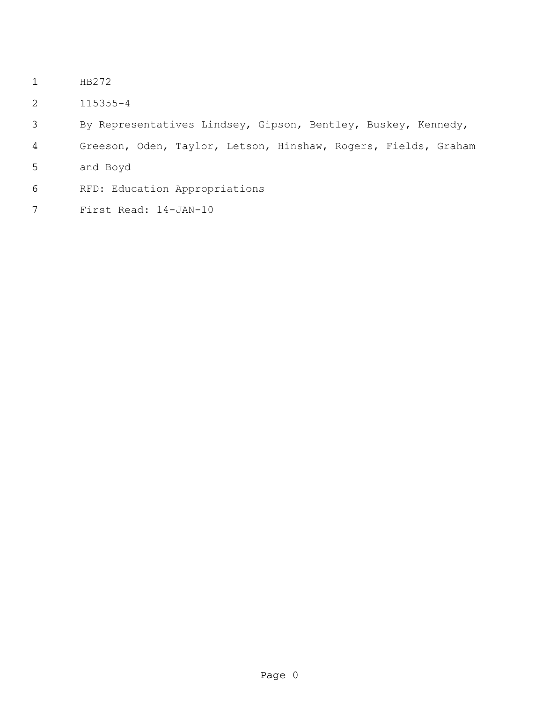- HB272
- 115355-4
- By Representatives Lindsey, Gipson, Bentley, Buskey, Kennedy,
- Greeson, Oden, Taylor, Letson, Hinshaw, Rogers, Fields, Graham
- and Boyd
- RFD: Education Appropriations
- First Read: 14-JAN-10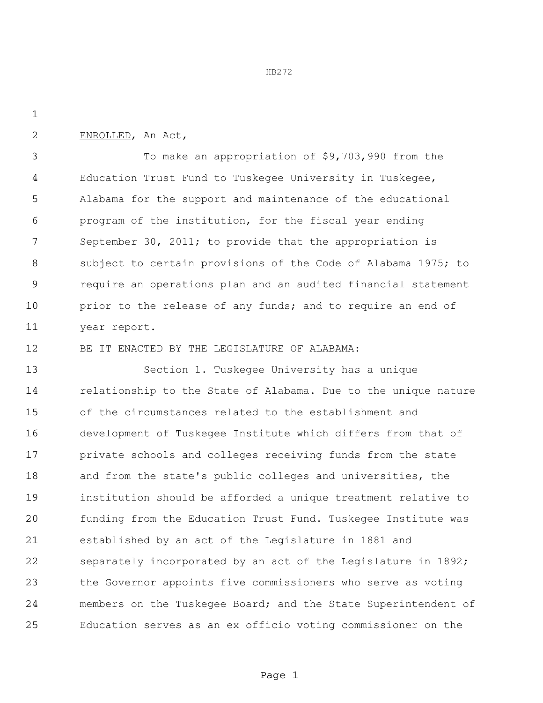HB272

ENROLLED, An Act,

 To make an appropriation of \$9,703,990 from the Education Trust Fund to Tuskegee University in Tuskegee, Alabama for the support and maintenance of the educational program of the institution, for the fiscal year ending September 30, 2011; to provide that the appropriation is subject to certain provisions of the Code of Alabama 1975; to require an operations plan and an audited financial statement 10 prior to the release of any funds; and to require an end of year report.

BE IT ENACTED BY THE LEGISLATURE OF ALABAMA:

 Section 1. Tuskegee University has a unique relationship to the State of Alabama. Due to the unique nature of the circumstances related to the establishment and development of Tuskegee Institute which differs from that of private schools and colleges receiving funds from the state and from the state's public colleges and universities, the institution should be afforded a unique treatment relative to funding from the Education Trust Fund. Tuskegee Institute was established by an act of the Legislature in 1881 and separately incorporated by an act of the Legislature in 1892; the Governor appoints five commissioners who serve as voting 24 members on the Tuskegee Board; and the State Superintendent of Education serves as an ex officio voting commissioner on the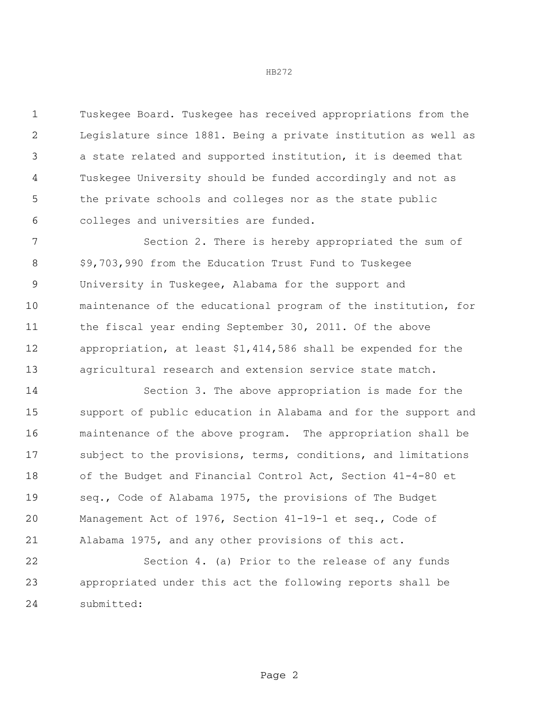Tuskegee Board. Tuskegee has received appropriations from the Legislature since 1881. Being a private institution as well as a state related and supported institution, it is deemed that Tuskegee University should be funded accordingly and not as the private schools and colleges nor as the state public colleges and universities are funded.

 Section 2. There is hereby appropriated the sum of \$9,703,990 from the Education Trust Fund to Tuskegee University in Tuskegee, Alabama for the support and maintenance of the educational program of the institution, for 11 the fiscal year ending September 30, 2011. Of the above appropriation, at least \$1,414,586 shall be expended for the agricultural research and extension service state match.

 Section 3. The above appropriation is made for the support of public education in Alabama and for the support and maintenance of the above program. The appropriation shall be subject to the provisions, terms, conditions, and limitations of the Budget and Financial Control Act, Section 41-4-80 et seq., Code of Alabama 1975, the provisions of The Budget Management Act of 1976, Section 41-19-1 et seq., Code of Alabama 1975, and any other provisions of this act.

 Section 4. (a) Prior to the release of any funds appropriated under this act the following reports shall be submitted:

## HB272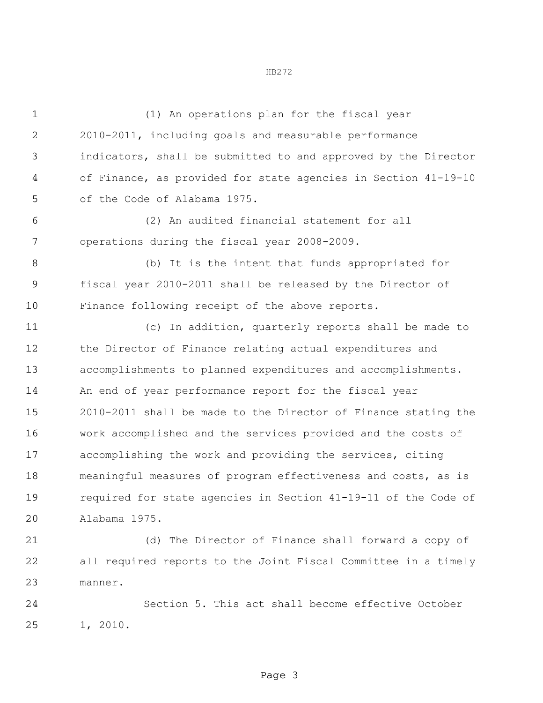(1) An operations plan for the fiscal year 2010-2011, including goals and measurable performance indicators, shall be submitted to and approved by the Director of Finance, as provided for state agencies in Section 41-19-10 of the Code of Alabama 1975. (2) An audited financial statement for all operations during the fiscal year 2008-2009. (b) It is the intent that funds appropriated for fiscal year 2010-2011 shall be released by the Director of Finance following receipt of the above reports. (c) In addition, quarterly reports shall be made to the Director of Finance relating actual expenditures and accomplishments to planned expenditures and accomplishments. An end of year performance report for the fiscal year 2010-2011 shall be made to the Director of Finance stating the work accomplished and the services provided and the costs of accomplishing the work and providing the services, citing meaningful measures of program effectiveness and costs, as is required for state agencies in Section 41-19-11 of the Code of Alabama 1975.

 (d) The Director of Finance shall forward a copy of all required reports to the Joint Fiscal Committee in a timely manner.

 Section 5. This act shall become effective October 1, 2010.

HB272